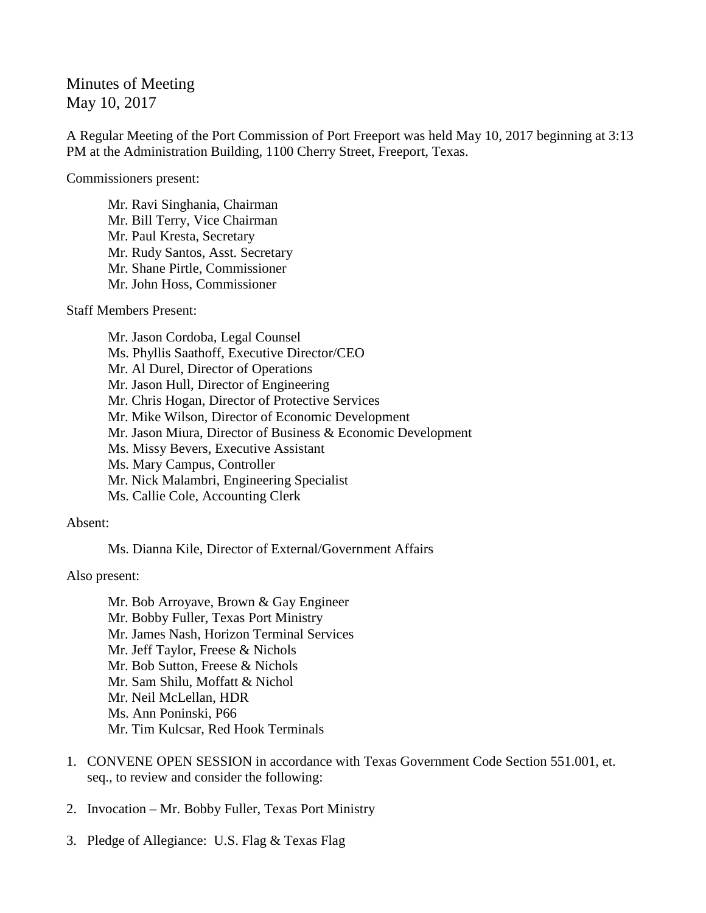Minutes of Meeting May 10, 2017

A Regular Meeting of the Port Commission of Port Freeport was held May 10, 2017 beginning at 3:13 PM at the Administration Building, 1100 Cherry Street, Freeport, Texas.

Commissioners present:

Mr. Ravi Singhania, Chairman Mr. Bill Terry, Vice Chairman Mr. Paul Kresta, Secretary Mr. Rudy Santos, Asst. Secretary Mr. Shane Pirtle, Commissioner Mr. John Hoss, Commissioner

Staff Members Present:

Mr. Jason Cordoba, Legal Counsel Ms. Phyllis Saathoff, Executive Director/CEO Mr. Al Durel, Director of Operations Mr. Jason Hull, Director of Engineering Mr. Chris Hogan, Director of Protective Services Mr. Mike Wilson, Director of Economic Development Mr. Jason Miura, Director of Business & Economic Development Ms. Missy Bevers, Executive Assistant Ms. Mary Campus, Controller Mr. Nick Malambri, Engineering Specialist Ms. Callie Cole, Accounting Clerk

Absent:

Ms. Dianna Kile, Director of External/Government Affairs

Also present:

Mr. Bob Arroyave, Brown & Gay Engineer Mr. Bobby Fuller, Texas Port Ministry Mr. James Nash, Horizon Terminal Services Mr. Jeff Taylor, Freese & Nichols Mr. Bob Sutton, Freese & Nichols Mr. Sam Shilu, Moffatt & Nichol Mr. Neil McLellan, HDR Ms. Ann Poninski, P66 Mr. Tim Kulcsar, Red Hook Terminals

- 1. CONVENE OPEN SESSION in accordance with Texas Government Code Section 551.001, et. seq., to review and consider the following:
- 2. Invocation Mr. Bobby Fuller, Texas Port Ministry
- 3. Pledge of Allegiance: U.S. Flag & Texas Flag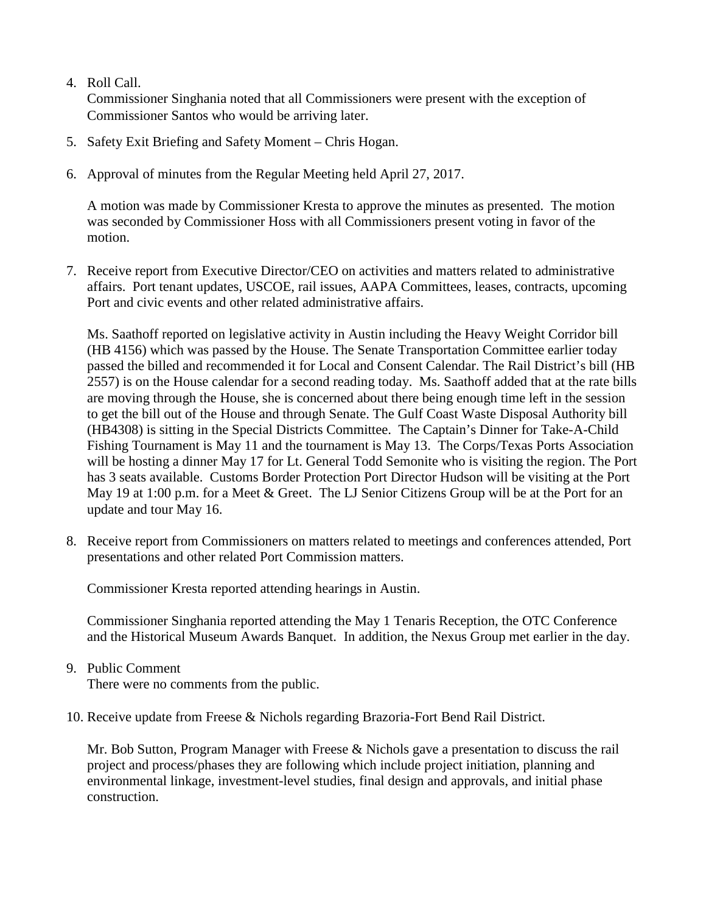4. Roll Call.

Commissioner Singhania noted that all Commissioners were present with the exception of Commissioner Santos who would be arriving later.

- 5. Safety Exit Briefing and Safety Moment Chris Hogan.
- 6. Approval of minutes from the Regular Meeting held April 27, 2017.

A motion was made by Commissioner Kresta to approve the minutes as presented. The motion was seconded by Commissioner Hoss with all Commissioners present voting in favor of the motion.

7. Receive report from Executive Director/CEO on activities and matters related to administrative affairs. Port tenant updates, USCOE, rail issues, AAPA Committees, leases, contracts, upcoming Port and civic events and other related administrative affairs.

Ms. Saathoff reported on legislative activity in Austin including the Heavy Weight Corridor bill (HB 4156) which was passed by the House. The Senate Transportation Committee earlier today passed the billed and recommended it for Local and Consent Calendar. The Rail District's bill (HB 2557) is on the House calendar for a second reading today. Ms. Saathoff added that at the rate bills are moving through the House, she is concerned about there being enough time left in the session to get the bill out of the House and through Senate. The Gulf Coast Waste Disposal Authority bill (HB4308) is sitting in the Special Districts Committee. The Captain's Dinner for Take-A-Child Fishing Tournament is May 11 and the tournament is May 13. The Corps/Texas Ports Association will be hosting a dinner May 17 for Lt. General Todd Semonite who is visiting the region. The Port has 3 seats available. Customs Border Protection Port Director Hudson will be visiting at the Port May 19 at 1:00 p.m. for a Meet & Greet. The LJ Senior Citizens Group will be at the Port for an update and tour May 16.

8. Receive report from Commissioners on matters related to meetings and conferences attended, Port presentations and other related Port Commission matters.

Commissioner Kresta reported attending hearings in Austin.

Commissioner Singhania reported attending the May 1 Tenaris Reception, the OTC Conference and the Historical Museum Awards Banquet. In addition, the Nexus Group met earlier in the day.

9. Public Comment

There were no comments from the public.

10. Receive update from Freese & Nichols regarding Brazoria-Fort Bend Rail District.

Mr. Bob Sutton, Program Manager with Freese & Nichols gave a presentation to discuss the rail project and process/phases they are following which include project initiation, planning and environmental linkage, investment-level studies, final design and approvals, and initial phase construction.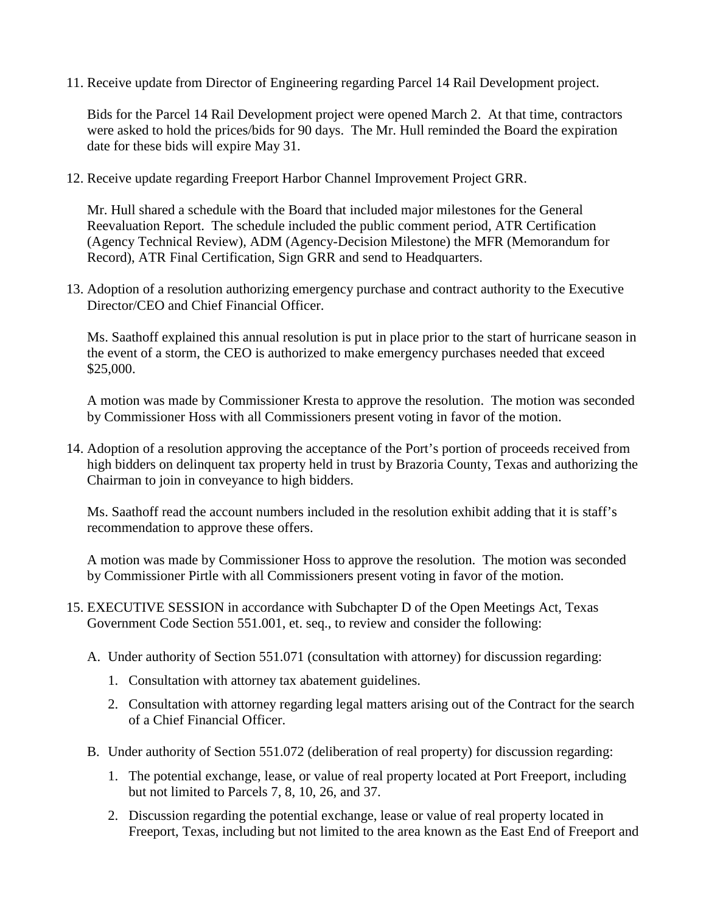11. Receive update from Director of Engineering regarding Parcel 14 Rail Development project.

Bids for the Parcel 14 Rail Development project were opened March 2. At that time, contractors were asked to hold the prices/bids for 90 days. The Mr. Hull reminded the Board the expiration date for these bids will expire May 31.

12. Receive update regarding Freeport Harbor Channel Improvement Project GRR.

Mr. Hull shared a schedule with the Board that included major milestones for the General Reevaluation Report. The schedule included the public comment period, ATR Certification (Agency Technical Review), ADM (Agency-Decision Milestone) the MFR (Memorandum for Record), ATR Final Certification, Sign GRR and send to Headquarters.

13. Adoption of a resolution authorizing emergency purchase and contract authority to the Executive Director/CEO and Chief Financial Officer.

Ms. Saathoff explained this annual resolution is put in place prior to the start of hurricane season in the event of a storm, the CEO is authorized to make emergency purchases needed that exceed \$25,000.

A motion was made by Commissioner Kresta to approve the resolution. The motion was seconded by Commissioner Hoss with all Commissioners present voting in favor of the motion.

14. Adoption of a resolution approving the acceptance of the Port's portion of proceeds received from high bidders on delinquent tax property held in trust by Brazoria County, Texas and authorizing the Chairman to join in conveyance to high bidders.

Ms. Saathoff read the account numbers included in the resolution exhibit adding that it is staff's recommendation to approve these offers.

A motion was made by Commissioner Hoss to approve the resolution. The motion was seconded by Commissioner Pirtle with all Commissioners present voting in favor of the motion.

- 15. EXECUTIVE SESSION in accordance with Subchapter D of the Open Meetings Act, Texas Government Code Section 551.001, et. seq., to review and consider the following:
	- A. Under authority of Section 551.071 (consultation with attorney) for discussion regarding:
		- 1. Consultation with attorney tax abatement guidelines.
		- 2. Consultation with attorney regarding legal matters arising out of the Contract for the search of a Chief Financial Officer.
	- B. Under authority of Section 551.072 (deliberation of real property) for discussion regarding:
		- 1. The potential exchange, lease, or value of real property located at Port Freeport, including but not limited to Parcels 7, 8, 10, 26, and 37.
		- 2. Discussion regarding the potential exchange, lease or value of real property located in Freeport, Texas, including but not limited to the area known as the East End of Freeport and